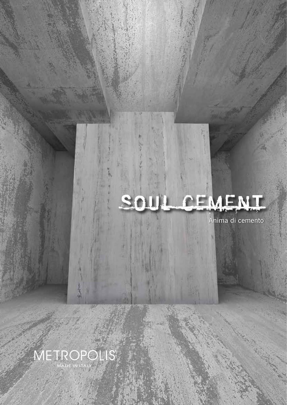## SOUL CEMENT

Anima di cemento

Anima di cemento

METROPOLIS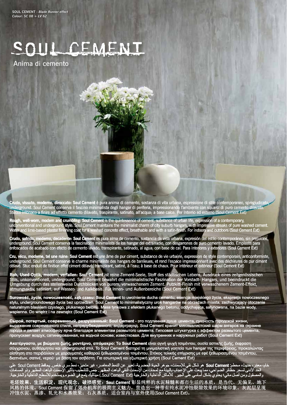## SOUL CEMENT

Anima di cemento

**Crudo, vissuto, moderno, diroccato: Soul Cement** è pura anima di cemento, sostanza di vita urbana, espressione di stile contemporaneo, spregiudicato, underground. Soul Cement conserva il fascino minimalista degli hangar di periferia, impressionando l'ambiente con squarci di puro cemento dilavato. Stucco intonaco a finire ad effetto cemento dilavato, traspirante, satinato, all'acqua; a base calce. Per Interno ed esterno (Soul Cement Ext)

**Rough, well-worn, modern and crumbling: Soul Cement** is the quintessence of cement, substance of urban life, expression of a contemporary, unconventional and underground style. Soul Cement maintains the minimalist charm of city suburb hangars, with impressive streaks of pure washed cement. Water and lime-based plaster finishing coat for a washed concrete effect, breathable and with a satin-finish. For indoors and outdoors (Soul Cement Ext)

**Crudo, sufrido, moderno, decadente: Soul Cement** es pura alma de cemento, sustancia de vida urbana, expresión del estilo contemporáneo, sin prejuicios, underground. Soul Cement conserva la fascinación minimalista de los hangar del extrarradio, con desgarrones de puro cemento lavado. Emplaste para enfoscados de acabado con efecto de cemento lavado, transpirante, satinado, al agua; con base de cal. Para interiores y exteriores (Soul Cement Ext)

**Cru, vécu, moderne, tel une ruine: Soul Cement** est une âme de pur ciment, substance de vie urbaine, expression de style contemporain, anticonformiste, underground. Soul Cement conserve le charme minimaliste des hangars de banlieues, et rend l'espace impressionnant avec des déchirures de pur ciment délavé. Stuc enduit de finition effet ciment délavé, transpirant, satiné, à l'eau; à base de chaux. Pour intérieur et extérieur (Soul Cement Ext)

**Roh, Used-Optik, modern, verfallen: Soul Cement** ist reine Zement-Seele, Stoff des städtischen Lebens, Ausdruck eines zeitgenössischen Stils, unkonventionell, underground. Soul Cement bewahrt die minimalistische Faszination der Vorstadt- Hangars, und beeindruckt die Umgebung durch das stellenweise Durchblicken von purem, verwaschenem Zement. Putzkitt-Finish mit verwaschenem Zement-Effekt, atmungsaktiv, satiniert, auf Wasser- und Kalkbasis. Für Innen- und Außenbereiche (Soul Cement Ext)

**Surowość, życie, nowoczesność, ząb czasu: Soul Cement** to uwolnienie ducha cementu, esencja miejskiego życia, ekspresja nowoczesnego stylu, undergroundowego życia bez uprzedzeń. Soul Cement to minimalistyczny urok hangarów na obrzeżach miasta, zachwycający otoczenie naturalnym blaskiem czystego, płukanego betonu. Masa tynkowa z efektem płukanego betonu, oddychająca, satynowana, na bazie wody, wapienna. Do wnętrz i na zewnątrz (Soul Cement Ext)

**Сырой, потертый, современный, разрушенный: Soul Cement** - это подлинная душа цемента, сущность городской жизни, выражение современного стиля, непредубежденного, андерграунд. Soul Cement хранит минималистский шарм ангаров на окраине города и делает атмосферу ярче благодаря элементам размытого цемента. Гипсовая штукатурка с эффектом размытого цемента, пропускает воздух, сатинированная, на водной основе; известковая. Для внутренних и наружных работ (Soul Cement Ext)

**Ακατέργαστο, με βιώματα ζωής, μοντέρνο, απόμακρο: Το Soul Cement** είναι αγνή ψυχή τσιμέντου, ουσία αστικής ζωής, έκφραση σύγχρονου, αυθόρμητου και underground στιλ. Το Soul Cement διατηρεί τη μινιμαλιστική γοητεία των hangar της περιφέρειας, προκαλώντας αίσθηση στο περιβάλλον με χαραγματιές καθαρού ξεθωριασμένου τσιμέντου. Στόκος τελικής επίχρισης με εφέ ξεθωριασμένου τσιμέντου, διαπνέων, σατινέ, νερού· με βάση τον ασβέστη. Για εσωτερική και εξωτερική χρήση (Soul Cement Ext)

خام، معمّر ، حديث، محطم: **Soul Cement ه**و شكل نقي للإسمنت، جوهر الحياة الحضرية، تعبير عن النمط المعاصر ، غير متحيز ، نمط سري خاص ـ يحافظ Soul Cement على<br>الحد الأدنى لسحر حظائر الضواحي، مما يبعث على الإعجاب بالبيئة مع لم والمصقول ومن أصل مائي؛ يحتوي بشكل أساسي على الجير . للأماكن الداخلية والخارجية (Soul Cement Ext). ميتاليك يلمع في الضوء.ويستخدم للأسطح الداخلية والخارجية.

毛坯效果、生活积淀、现代观念、破损感觉:**Soul Cement** 彰显纯粹的水泥精髓和都市生活的本质,是当代、无偏见、地下 风格的体现。Soul Cement 保留了郊外机库的极简主义魅力,营造出一种带有纯水泥冲蚀裂隙效果的环境印象。灰泥层呈现 冲蚀水泥、蒸渗、轧光和水基效果;石灰基质。适合室内与室外使用(Soul Cement Ext)。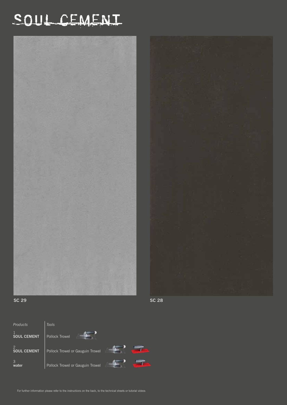## SOUL CEMENT







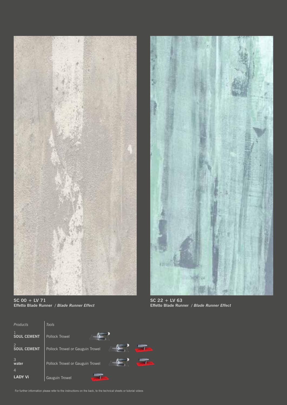



**SC 00 + LV 71 Effetto Blade Runner** */ Blade Runner Effect* 

**SC 22 + LV 63 Effetto Blade Runner** */ Blade Runner Effect* 



For further information please refer to the instructions on the back, to the technical sheets or tutorial videos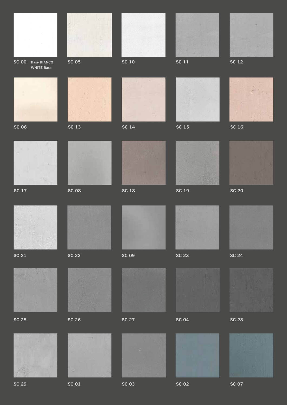